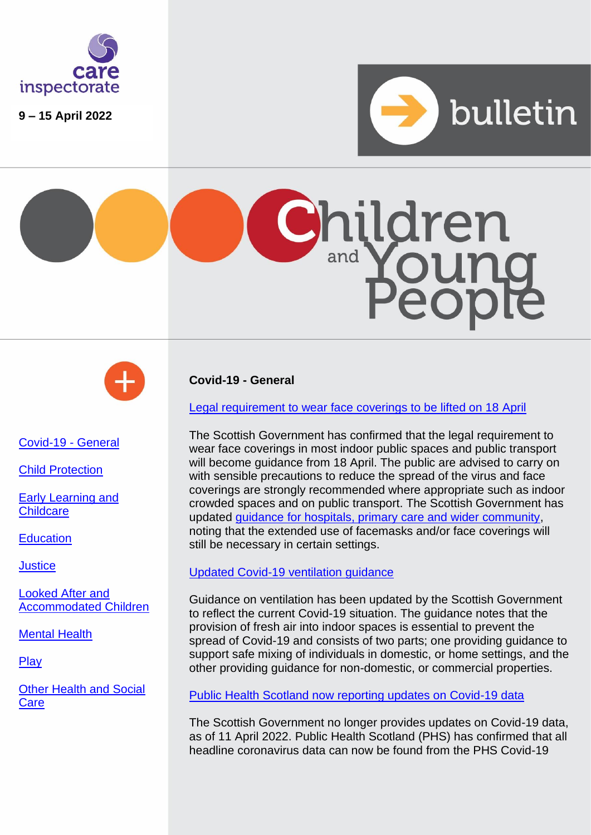

**9 – 15 April 2022**







<span id="page-0-0"></span>[Covid-19 -](#page-0-0) General

[Child Protection](#page-0-1)

[Early Learning](#page-3-0) and **[Childcare](#page-3-0)** 

**[Education](#page-3-1)** 

**[Justice](#page-3-2)** 

[Looked After and](#page-3-3)  [Accommodated Children](#page-3-3)

[Mental Health](#page-4-0)

**[Play](#page-4-1)** 

[Other Health and Social](#page-3-4)  **[Care](#page-3-4)** 

<span id="page-0-1"></span>**Covid-19 - General**

[Legal requirement to wear face coverings to be lifted on 18 April](https://www.gov.scot/news/use-of-face-coverings/)

The Scottish Government has confirmed that the legal requirement to wear face coverings in most indoor public spaces and public transport will become guidance from 18 April. The public are advised to carry on with sensible precautions to reduce the spread of the virus and face coverings are strongly recommended where appropriate such as indoor crowded spaces and on public transport. The Scottish Government has updated [guidance for hospitals, primary care and wider community,](https://www.gov.scot/publications/coronavirus-covid-19-interim-guidance-on-the-extended-use-of-face-masks-in-hospitals-and-care-homes/) noting that the extended use of facemasks and/or face coverings will still be necessary in certain settings.

# [Updated Covid-19 ventilation guidance](https://www.gov.scot/publications/coronavirus-covid-19-ventilation-guidance/)

Guidance on ventilation has been updated by the Scottish Government to reflect the current Covid-19 situation. The guidance notes that the provision of fresh air into indoor spaces is essential to prevent the spread of Covid-19 and consists of two parts; one providing guidance to support safe mixing of individuals in domestic, or home settings, and the other providing guidance for non-domestic, or commercial properties.

[Public Health Scotland now reporting updates on Covid-19 data](https://publichealthscotland.scot/news/2022/april/future-of-covid-19-reporting/) 

The Scottish Government no longer provides updates on Covid-19 data, as of 11 April 2022. Public Health Scotland (PHS) has confirmed that all headline coronavirus data can now be found from the PHS Covid-19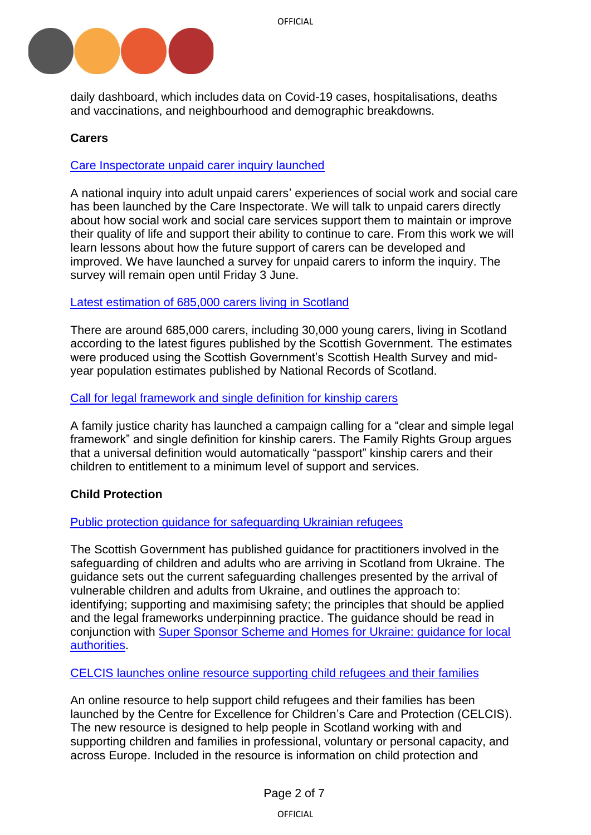

daily dashboard, which includes data on Covid-19 cases, hospitalisations, deaths and vaccinations, and neighbourhood and demographic breakdowns.

# **Carers**

[Care Inspectorate unpaid carer inquiry launched](https://www.careinspectorate.com/index.php/news/6638-care-inspectorate-unpaid-carer-inquiry)

A national inquiry into adult unpaid carers' experiences of social work and social care has been launched by the Care Inspectorate. We will talk to unpaid carers directly about how social work and social care services support them to maintain or improve their quality of life and support their ability to continue to care. From this work we will learn lessons about how the future support of carers can be developed and improved. We have launched a survey for unpaid carers to inform the inquiry. The survey will remain open until Friday 3 June.

#### [Latest estimation of 685,000 carers living in Scotland](https://www.gov.scot/publications/scotlands-carers-update-release-2/)

There are around 685,000 carers, including 30,000 young carers, living in Scotland according to the latest figures published by the Scottish Government. The estimates were produced using the Scottish Government's Scottish Health Survey and midyear population estimates published by National Records of Scotland.

#### [Call for legal framework and single definition for kinship carers](https://frg.org.uk/news-blogs-and-vlogs/news/time-to-define-kinship-care/)

A family justice charity has launched a campaign calling for a "clear and simple legal framework" and single definition for kinship carers. The Family Rights Group argues that a universal definition would automatically "passport" kinship carers and their children to entitlement to a minimum level of support and services.

## **Child Protection**

#### [Public protection guidance for safeguarding Ukrainian refugees](https://www.gov.scot/publications/people-arriving-from-ukraine-risk-and-need-public-protection-guidance/pages/overview/)

The Scottish Government has published guidance for practitioners involved in the safeguarding of children and adults who are arriving in Scotland from Ukraine. The guidance sets out the current safeguarding challenges presented by the arrival of vulnerable children and adults from Ukraine, and outlines the approach to: identifying; supporting and maximising safety; the principles that should be applied and the legal frameworks underpinning practice. The guidance should be read in conjunction with [Super Sponsor Scheme and Homes for Ukraine: guidance for local](https://www.gov.scot/publications/super-sponsor-scheme-and-homes-for-ukraine-guidance-for-local-authorities/)  [authorities.](https://www.gov.scot/publications/super-sponsor-scheme-and-homes-for-ukraine-guidance-for-local-authorities/)

[CELCIS launches online resource supporting child refugees and their families](https://celcis.org/knowledge-bank/protecting-children/supporting-child-refugees-and-their-families)

An online resource to help support child refugees and their families has been launched by the Centre for Excellence for Children's Care and Protection (CELCIS). The new resource is designed to help people in Scotland working with and supporting children and families in professional, voluntary or personal capacity, and across Europe. Included in the resource is information on child protection and

OFFICIAL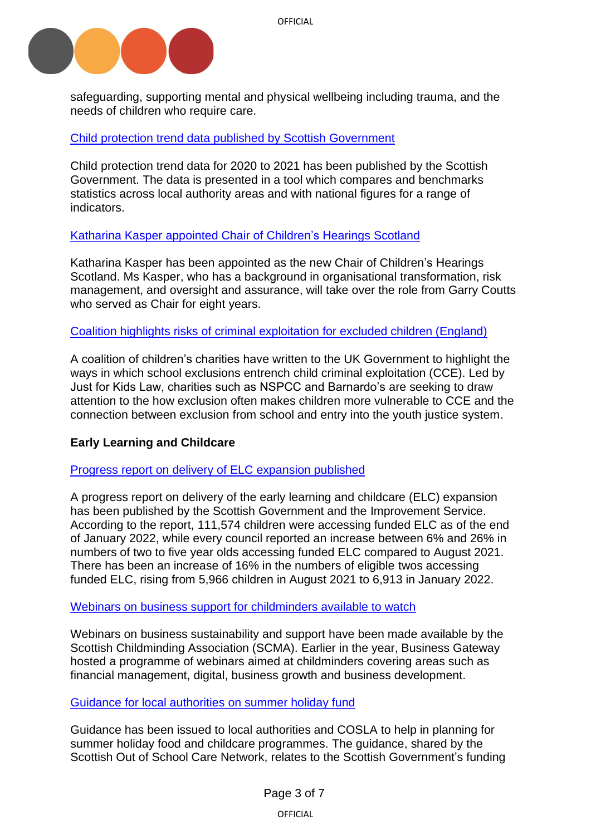

safeguarding, supporting mental and physical wellbeing including trauma, and the needs of children who require care.

# [Child protection trend data published by Scottish Government](https://www.gov.scot/publications/child-protection-statistics-2021-local-authority-benchmarking-tool/)

Child protection trend data for 2020 to 2021 has been published by the Scottish Government. The data is presented in a tool which compares and benchmarks statistics across local authority areas and with national figures for a range of indicators.

## [Katharina Kasper appointed Chair of Children's Hearings Scotland](https://www.chscotland.gov.uk/about-us/latest-news/new-chair-of-the-board-appointed/)

Katharina Kasper has been appointed as the new Chair of Children's Hearings Scotland. Ms Kasper, who has a background in organisational transformation, risk management, and oversight and assurance, will take over the role from Garry Coutts who served as Chair for eight years.

[Coalition highlights risks of criminal exploitation for excluded children \(England\)](https://justforkidslaw.org/news/coalition-childrens-charities-demand-better-protection-against-child-criminal-exploitation)

A coalition of children's charities have written to the UK Government to highlight the ways in which school exclusions entrench child criminal exploitation (CCE). Led by Just for Kids Law, charities such as NSPCC and Barnardo's are seeking to draw attention to the how exclusion often makes children more vulnerable to CCE and the connection between exclusion from school and entry into the youth justice system.

## **Early Learning and Childcare**

#### Progress report on delivery [of ELC expansion published](https://www.gov.scot/news/childcare-savings-for-families-1/)

A progress report on delivery of the early learning and childcare (ELC) expansion has been published by the Scottish Government and the Improvement Service. According to the report, 111,574 children were accessing funded ELC as of the end of January 2022, while every council reported an increase between 6% and 26% in numbers of two to five year olds accessing funded ELC compared to August 2021. There has been an increase of 16% in the numbers of eligible twos accessing funded ELC, rising from 5,966 children in August 2021 to 6,913 in January 2022.

#### [Webinars on business support for childminders available to watch](https://www.childminding.org/news/watch-webinar-on-business-support-for-childminders-from-business-gateway)

Webinars on business sustainability and support have been made available by the Scottish Childminding Association (SCMA). Earlier in the year, Business Gateway hosted a programme of webinars aimed at childminders covering areas such as financial management, digital, business growth and business development.

## Guidance [for local authorities on summer holiday fund](https://soscn.org/news/news_260)

Guidance has been issued to local authorities and COSLA to help in planning for summer holiday food and childcare programmes. The guidance, shared by the Scottish Out of School Care Network, relates to the Scottish Government's funding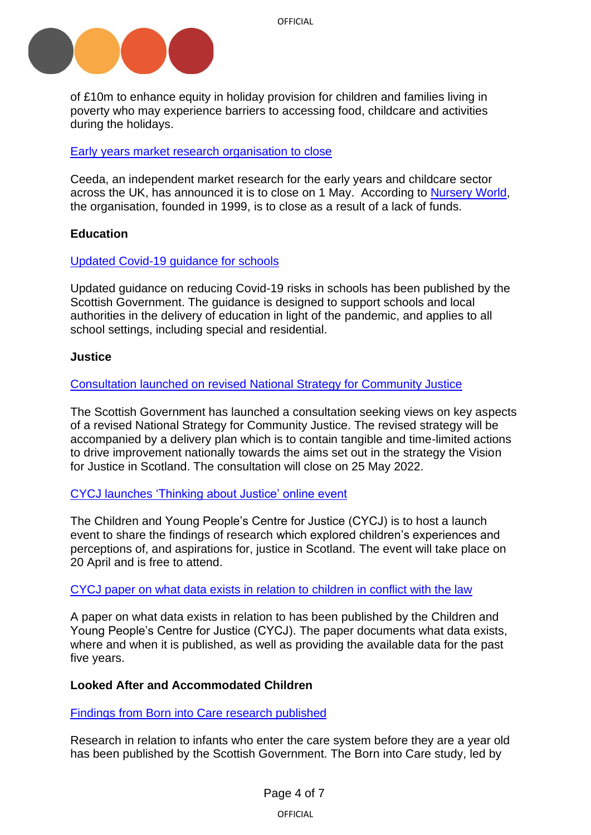

of £10m to enhance equity in holiday provision for children and families living in poverty who may experience barriers to accessing food, childcare and activities during the holidays.

#### [Early years market research organisation](https://www.ceeda.co.uk/) to close

Ceeda, an independent market research for the early years and childcare sector across the UK, has announced it is to close on 1 May. According to [Nursery World,](https://www.nurseryworld.co.uk/news/article/early-years-research-company-ceeda-to-close-next-month) the organisation, founded in 1999, is to close as a result of a lack of funds.

## <span id="page-3-1"></span><span id="page-3-0"></span>**Education**

#### [Updated Covid-19 guidance for schools](https://www.gov.scot/publications/coronavirus-covid-19-guidance-on-reducing-the-risks-in-schools/)

Updated guidance on reducing Covid-19 risks in schools has been published by the Scottish Government. The guidance is designed to support schools and local authorities in the delivery of education in light of the pandemic, and applies to all school settings, including special and residential.

#### <span id="page-3-2"></span>**Justice**

#### [Consultation launched on revised National Strategy for Community Justice](https://www.gov.scot/publications/national-strategy-community-justice-revision-consultation/)

The Scottish Government has launched a consultation seeking views on key aspects of a revised National Strategy for Community Justice. The revised strategy will be accompanied by a delivery plan which is to contain tangible and time-limited actions to drive improvement nationally towards the aims set out in the strategy the Vision for Justice in Scotland. The consultation will close on 25 May 2022.

## [CYCJ launches 'Thinking about Justice' online event](https://www.eventbrite.co.uk/e/thinking-about-justice-launch-event-tickets-298205800577)

The Children and Young People's Centre for Justice (CYCJ) is to host a launch event to share the findings of research which explored children's experiences and perceptions of, and aspirations for, justice in Scotland. The event will take place on 20 April and is free to attend.

#### [CYCJ paper on what data exists in relation to children in conflict with the law](https://www.cycj.org.uk/resource/data/)

A paper on what data exists in relation to has been published by the Children and Young People's Centre for Justice (CYCJ). The paper documents what data exists, where and when it is published, as well as providing the available data for the past five years.

## <span id="page-3-3"></span>**Looked After and Accommodated Children**

<span id="page-3-4"></span>[Findings from Born into Care research published](https://www.gov.scot/publications/born-care-scotland-circumstances-recurrence-pathways/pages/1/)

Research in relation to infants who enter the care system before they are a year old has been published by the Scottish Government. The Born into Care study, led by

OFFICIAL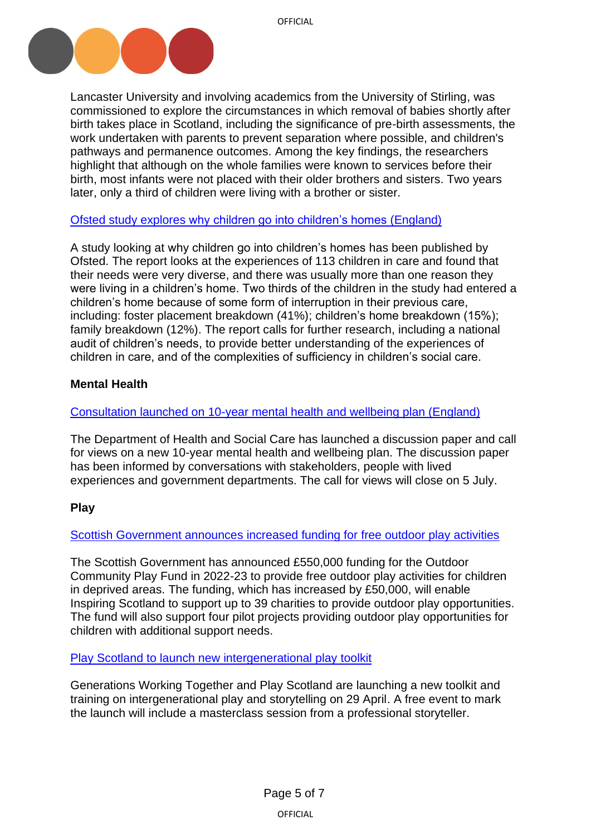

Lancaster University and involving academics from the University of Stirling, was commissioned to explore the circumstances in which removal of babies shortly after birth takes place in Scotland, including the significance of pre-birth assessments, the work undertaken with parents to prevent separation where possible, and children's pathways and permanence outcomes. Among the key findings, the researchers highlight that although on the whole families were known to services before their birth, most infants were not placed with their older brothers and sisters. Two years later, only a third of children were living with a brother or sister.

# [Ofsted study explores why children go into children's homes](https://www.gov.uk/government/publications/why-do-children-go-into-childrens-homes) (England)

A study looking at why children go into children's homes has been published by Ofsted. The report looks at the experiences of 113 children in care and found that their needs were very diverse, and there was usually more than one reason they were living in a children's home. Two thirds of the children in the study had entered a children's home because of some form of interruption in their previous care, including: foster placement breakdown (41%); children's home breakdown (15%); family breakdown (12%). The report calls for further research, including a national audit of children's needs, to provide better understanding of the experiences of children in care, and of the complexities of sufficiency in children's social care.

# <span id="page-4-0"></span>**Mental Health**

# [Consultation launched on 10-year mental health and wellbeing plan \(England\)](https://www.gov.uk/government/consultations/mental-health-and-wellbeing-plan-discussion-paper-and-call-for-evidence)

The Department of Health and Social Care has launched a discussion paper and call for views on a new 10-year mental health and wellbeing plan. The discussion paper has been informed by conversations with stakeholders, people with lived experiences and government departments. The call for views will close on 5 July.

# <span id="page-4-1"></span>**Play**

[Scottish Government announces increased funding for](https://www.gov.scot/news/free-outdoor-play-activities/) free outdoor play activities

The Scottish Government has announced £550,000 funding for the Outdoor Community Play Fund in 2022-23 to provide free outdoor play activities for children in deprived areas. The funding, which has increased by £50,000, will enable Inspiring Scotland to support up to 39 charities to provide outdoor play opportunities. The fund will also support four pilot projects providing outdoor play opportunities for children with additional support needs.

## Play Scotland to [launch new intergenerational play toolkit](https://www.playscotland.org/intergenerational-play-and-storytelling-toolkit-launch-training/#more-22488)

Generations Working Together and Play Scotland are launching a new toolkit and training on intergenerational play and storytelling on 29 April. A free event to mark the launch will include a masterclass session from a professional storyteller.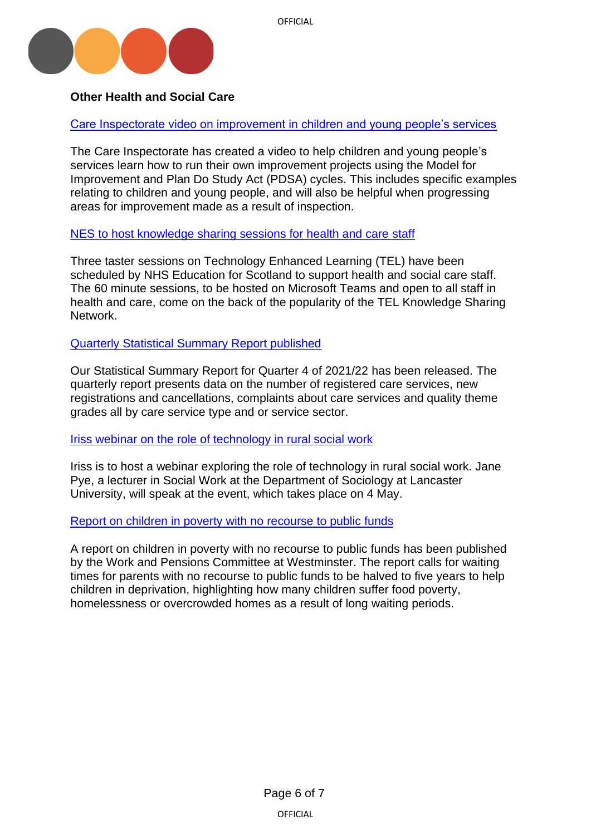

# **Other Health and Social Care**

[Care Inspectorate video on improvement in children and young people's services](https://www.youtube.com/watch?v=N64lc4xhwxU)

The Care Inspectorate has created a video to help children and young people's services learn how to run their own improvement projects using the Model for Improvement and Plan Do Study Act (PDSA) cycles. This includes specific examples relating to children and young people, and will also be helpful when progressing areas for improvement made as a result of inspection.

# [NES to host knowledge sharing sessions for health and care](https://www.nes.scot.nhs.uk/news/new-sessions-aimed-at-sharing-knowledge-and-experience-in-technology-enhanced-learning/) staff

Three taster sessions on Technology Enhanced Learning (TEL) have been scheduled by NHS Education for Scotland to support health and social care staff. The 60 minute sessions, to be hosted on Microsoft Teams and open to all staff in health and care, come on the back of the popularity of the TEL Knowledge Sharing Network.

# [Quarterly Statistical Summary Report published](https://www.careinspectorate.com/index.php/news/6622-the-care-inspectorate-statistical-summary-report-for-quarter-4-of-2021-22-has-now-been-released)

Our Statistical Summary Report for Quarter 4 of 2021/22 has been released. The quarterly report presents data on the number of registered care services, new registrations and cancellations, complaints about care services and quality theme grades all by care service type and or service sector.

## [Iriss webinar on the role of technology in rural social work](https://www.iriss.org.uk/news/news/2022/04/08/technology-answer-rural-social-work)

Iriss is to host a webinar exploring the role of technology in rural social work. Jane Pye, a lecturer in Social Work at the Department of Sociology at Lancaster University, will speak at the event, which takes place on 4 May.

## [Report on children in poverty with no recourse to public funds](https://committees.parliament.uk/publications/9616/documents/162588/default/)

A report on children in poverty with no recourse to public funds has been published by the Work and Pensions Committee at Westminster. The report calls for waiting times for parents with no recourse to public funds to be halved to five years to help children in deprivation, highlighting how many children suffer food poverty, homelessness or overcrowded homes as a result of long waiting periods.